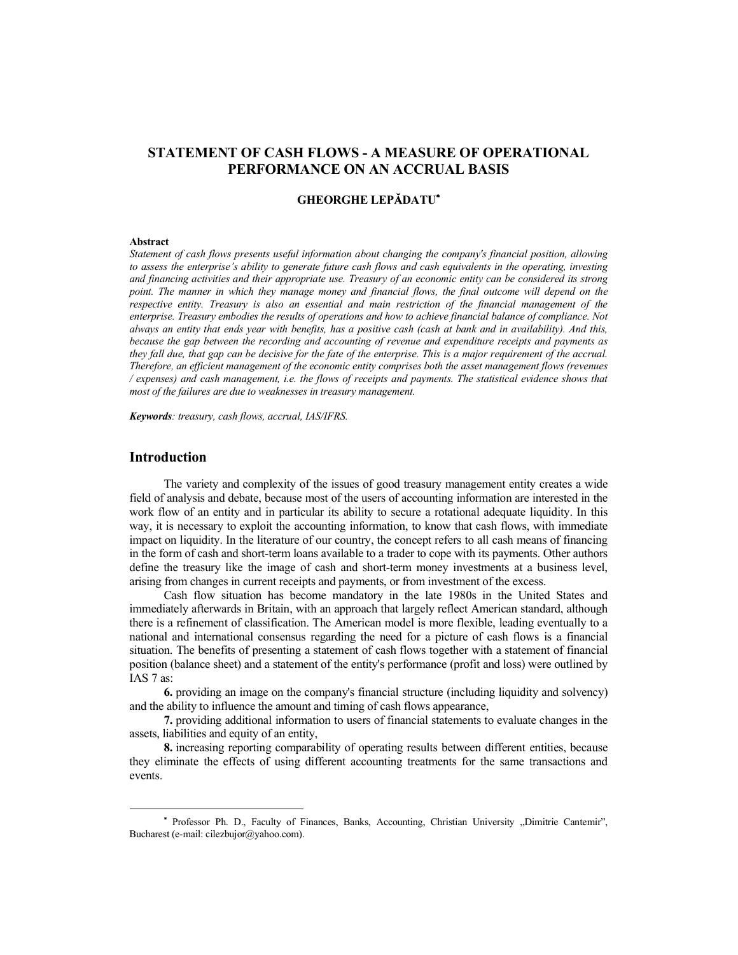# **STATEMENT OF CASH FLOWS - A MEASURE OF OPERATIONAL PERFORMANCE ON AN ACCRUAL BASIS**

## **GHEORGHE LEPĂDATU\***

#### **Abstract**

*Statement of cash flows presents useful information about changing the company's financial position, allowing to assess the enterprise's ability to generate future cash flows and cash equivalents in the operating, investing and financing activities and their appropriate use. Treasury of an economic entity can be considered its strong point. The manner in which they manage money and financial flows, the final outcome will depend on the respective entity. Treasury is also an essential and main restriction of the financial management of the enterprise. Treasury embodies the results of operations and how to achieve financial balance of compliance. Not always an entity that ends year with benefits, has a positive cash (cash at bank and in availability). And this, because the gap between the recording and accounting of revenue and expenditure receipts and payments as they fall due, that gap can be decisive for the fate of the enterprise. This is a major requirement of the accrual. Therefore, an efficient management of the economic entity comprises both the asset management flows (revenues / expenses) and cash management, i.e. the flows of receipts and payments. The statistical evidence shows that most of the failures are due to weaknesses in treasury management.* 

*Keywords: treasury, cash flows, accrual, IAS/IFRS.* 

# **Introduction**

The variety and complexity of the issues of good treasury management entity creates a wide field of analysis and debate, because most of the users of accounting information are interested in the work flow of an entity and in particular its ability to secure a rotational adequate liquidity. In this way, it is necessary to exploit the accounting information, to know that cash flows, with immediate impact on liquidity. In the literature of our country, the concept refers to all cash means of financing in the form of cash and short-term loans available to a trader to cope with its payments. Other authors define the treasury like the image of cash and short-term money investments at a business level, arising from changes in current receipts and payments, or from investment of the excess.

Cash flow situation has become mandatory in the late 1980s in the United States and immediately afterwards in Britain, with an approach that largely reflect American standard, although there is a refinement of classification. The American model is more flexible, leading eventually to a national and international consensus regarding the need for a picture of cash flows is a financial situation. The benefits of presenting a statement of cash flows together with a statement of financial position (balance sheet) and a statement of the entity's performance (profit and loss) were outlined by IAS 7 as:

**6.** providing an image on the company's financial structure (including liquidity and solvency) and the ability to influence the amount and timing of cash flows appearance,

**7.** providing additional information to users of financial statements to evaluate changes in the assets, liabilities and equity of an entity,

**8.** increasing reporting comparability of operating results between different entities, because they eliminate the effects of using different accounting treatments for the same transactions and events.

<sup>\*</sup> Professor Ph. D., Faculty of Finances, Banks, Accounting, Christian University "Dimitrie Cantemir", Bucharest (e-mail: cilezbujor@yahoo.com).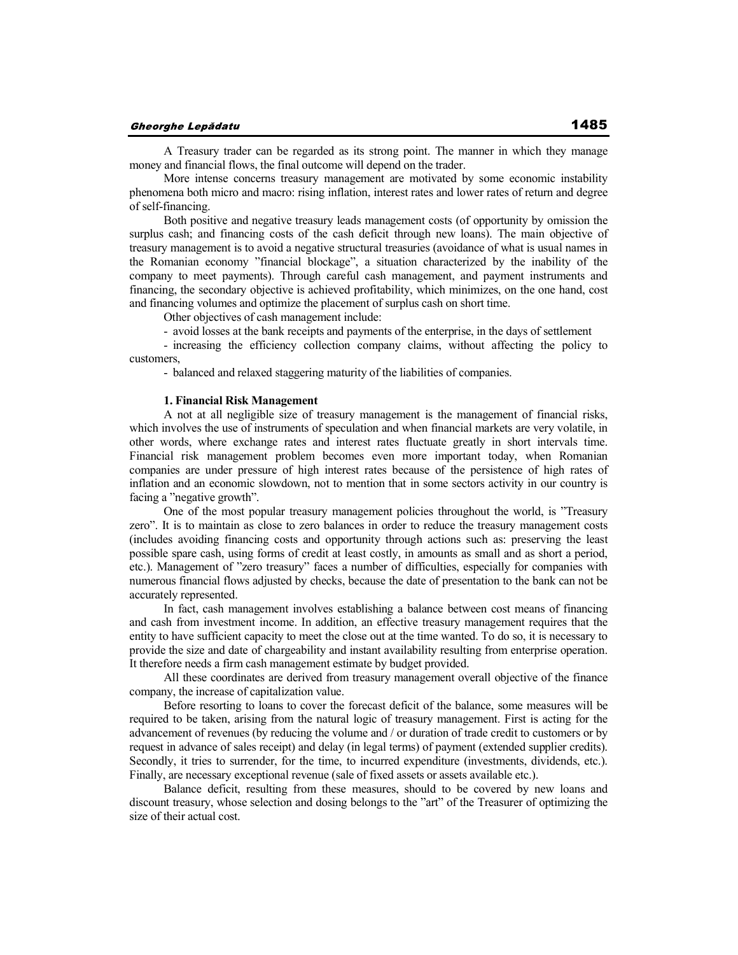A Treasury trader can be regarded as its strong point. The manner in which they manage money and financial flows, the final outcome will depend on the trader.

More intense concerns treasury management are motivated by some economic instability phenomena both micro and macro: rising inflation, interest rates and lower rates of return and degree of self-financing.

Both positive and negative treasury leads management costs (of opportunity by omission the surplus cash; and financing costs of the cash deficit through new loans). The main objective of treasury management is to avoid a negative structural treasuries (avoidance of what is usual names in the Romanian economy "financial blockage", a situation characterized by the inability of the company to meet payments). Through careful cash management, and payment instruments and financing, the secondary objective is achieved profitability, which minimizes, on the one hand, cost and financing volumes and optimize the placement of surplus cash on short time.

Other objectives of cash management include:

- avoid losses at the bank receipts and payments of the enterprise, in the days of settlement

- increasing the efficiency collection company claims, without affecting the policy to customers,

- balanced and relaxed staggering maturity of the liabilities of companies.

## **1. Financial Risk Management**

A not at all negligible size of treasury management is the management of financial risks, which involves the use of instruments of speculation and when financial markets are very volatile, in other words, where exchange rates and interest rates fluctuate greatly in short intervals time. Financial risk management problem becomes even more important today, when Romanian companies are under pressure of high interest rates because of the persistence of high rates of inflation and an economic slowdown, not to mention that in some sectors activity in our country is facing a "negative growth".

One of the most popular treasury management policies throughout the world, is "Treasury zero". It is to maintain as close to zero balances in order to reduce the treasury management costs (includes avoiding financing costs and opportunity through actions such as: preserving the least possible spare cash, using forms of credit at least costly, in amounts as small and as short a period, etc.). Management of "zero treasury" faces a number of difficulties, especially for companies with numerous financial flows adjusted by checks, because the date of presentation to the bank can not be accurately represented.

In fact, cash management involves establishing a balance between cost means of financing and cash from investment income. In addition, an effective treasury management requires that the entity to have sufficient capacity to meet the close out at the time wanted. To do so, it is necessary to provide the size and date of chargeability and instant availability resulting from enterprise operation. It therefore needs a firm cash management estimate by budget provided.

All these coordinates are derived from treasury management overall objective of the finance company, the increase of capitalization value.

Before resorting to loans to cover the forecast deficit of the balance, some measures will be required to be taken, arising from the natural logic of treasury management. First is acting for the advancement of revenues (by reducing the volume and / or duration of trade credit to customers or by request in advance of sales receipt) and delay (in legal terms) of payment (extended supplier credits). Secondly, it tries to surrender, for the time, to incurred expenditure (investments, dividends, etc.). Finally, are necessary exceptional revenue (sale of fixed assets or assets available etc.).

Balance deficit, resulting from these measures, should to be covered by new loans and discount treasury, whose selection and dosing belongs to the "art" of the Treasurer of optimizing the size of their actual cost.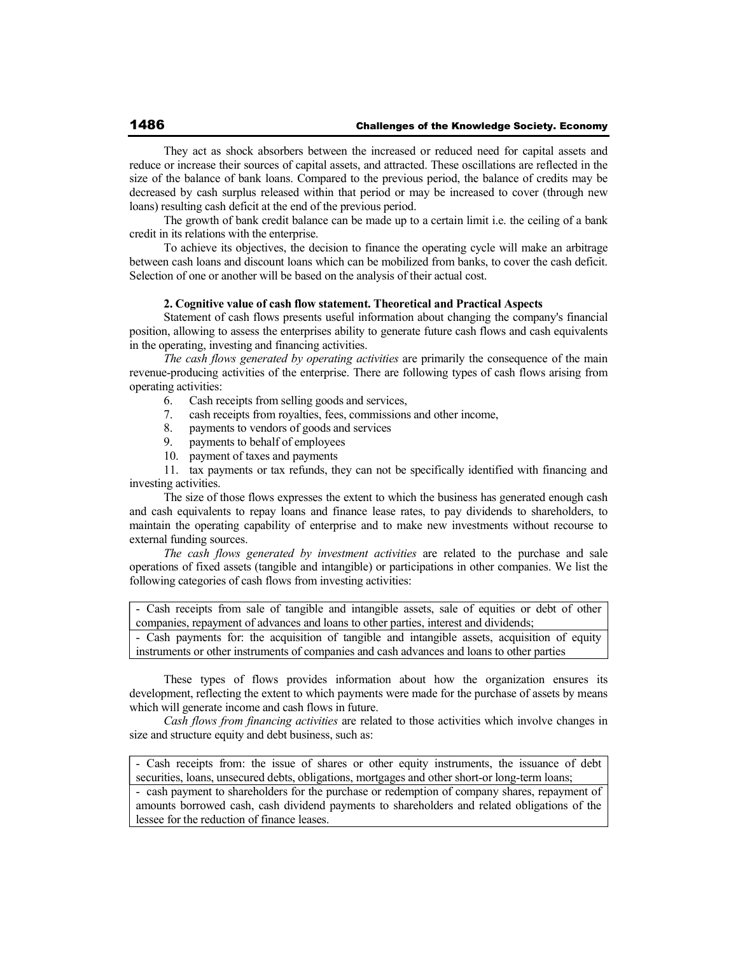They act as shock absorbers between the increased or reduced need for capital assets and reduce or increase their sources of capital assets, and attracted. These oscillations are reflected in the size of the balance of bank loans. Compared to the previous period, the balance of credits may be decreased by cash surplus released within that period or may be increased to cover (through new loans) resulting cash deficit at the end of the previous period.

The growth of bank credit balance can be made up to a certain limit i.e. the ceiling of a bank credit in its relations with the enterprise.

To achieve its objectives, the decision to finance the operating cycle will make an arbitrage between cash loans and discount loans which can be mobilized from banks, to cover the cash deficit. Selection of one or another will be based on the analysis of their actual cost.

## **2. Cognitive value of cash flow statement. Theoretical and Practical Aspects**

Statement of cash flows presents useful information about changing the company's financial position, allowing to assess the enterprises ability to generate future cash flows and cash equivalents in the operating, investing and financing activities.

*The cash flows generated by operating activities* are primarily the consequence of the main revenue-producing activities of the enterprise. There are following types of cash flows arising from operating activities:

- 6. Cash receipts from selling goods and services,
- 7. cash receipts from royalties, fees, commissions and other income,
- 8. payments to vendors of goods and services
- 9. payments to behalf of employees
- 10. payment of taxes and payments

11. tax payments or tax refunds, they can not be specifically identified with financing and investing activities.

The size of those flows expresses the extent to which the business has generated enough cash and cash equivalents to repay loans and finance lease rates, to pay dividends to shareholders, to maintain the operating capability of enterprise and to make new investments without recourse to external funding sources.

*The cash flows generated by investment activities* are related to the purchase and sale operations of fixed assets (tangible and intangible) or participations in other companies. We list the following categories of cash flows from investing activities:

- Cash receipts from sale of tangible and intangible assets, sale of equities or debt of other companies, repayment of advances and loans to other parties, interest and dividends;

- Cash payments for: the acquisition of tangible and intangible assets, acquisition of equity instruments or other instruments of companies and cash advances and loans to other parties

These types of flows provides information about how the organization ensures its development, reflecting the extent to which payments were made for the purchase of assets by means which will generate income and cash flows in future.

*Cash flows from financing activities* are related to those activities which involve changes in size and structure equity and debt business, such as:

- Cash receipts from: the issue of shares or other equity instruments, the issuance of debt securities, loans, unsecured debts, obligations, mortgages and other short-or long-term loans;

- cash payment to shareholders for the purchase or redemption of company shares, repayment of amounts borrowed cash, cash dividend payments to shareholders and related obligations of the lessee for the reduction of finance leases.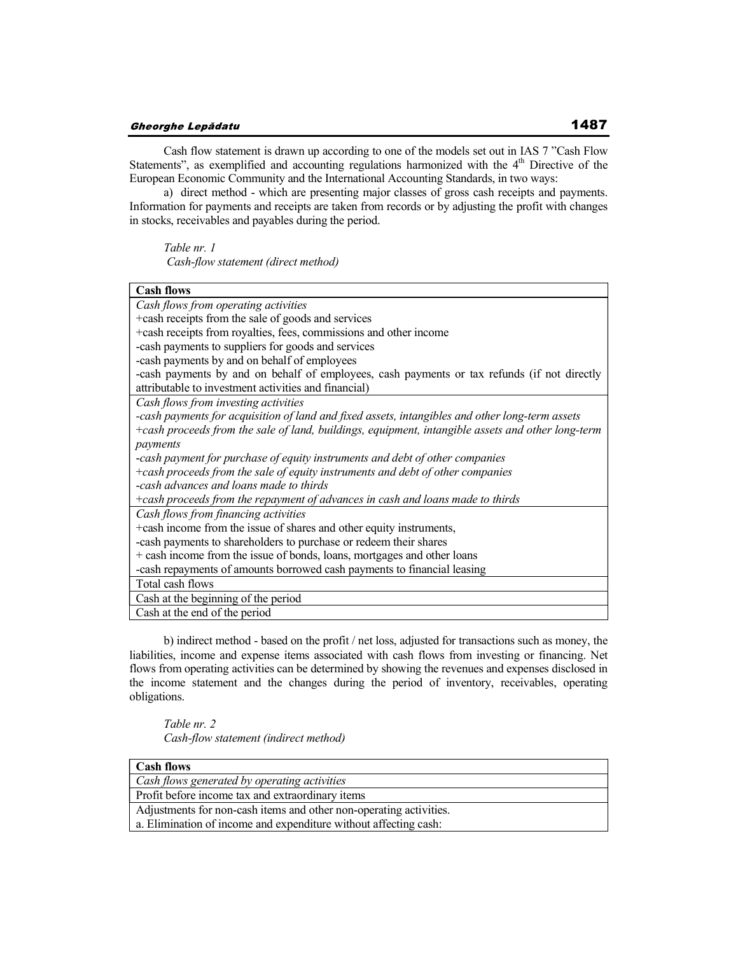Cash flow statement is drawn up according to one of the models set out in IAS 7 "Cash Flow Statements", as exemplified and accounting regulations harmonized with the  $4<sup>th</sup>$  Directive of the European Economic Community and the International Accounting Standards, in two ways:

a) direct method - which are presenting major classes of gross cash receipts and payments. Information for payments and receipts are taken from records or by adjusting the profit with changes in stocks, receivables and payables during the period.

*Table nr. 1* 

 *Cash-flow statement (direct method)* 

| <b>Cash flows</b>                                                                                 |
|---------------------------------------------------------------------------------------------------|
| Cash flows from operating activities                                                              |
| +cash receipts from the sale of goods and services                                                |
| +cash receipts from royalties, fees, commissions and other income                                 |
| -cash payments to suppliers for goods and services                                                |
| -cash payments by and on behalf of employees                                                      |
| -cash payments by and on behalf of employees, cash payments or tax refunds (if not directly       |
| attributable to investment activities and financial)                                              |
| Cash flows from investing activities                                                              |
| -cash payments for acquisition of land and fixed assets, intangibles and other long-term assets   |
| +cash proceeds from the sale of land, buildings, equipment, intangible assets and other long-term |
| payments                                                                                          |
| -cash payment for purchase of equity instruments and debt of other companies                      |
| +cash proceeds from the sale of equity instruments and debt of other companies                    |
| -cash advances and loans made to thirds                                                           |
| +cash proceeds from the repayment of advances in cash and loans made to thirds                    |
| Cash flows from financing activities                                                              |
| +cash income from the issue of shares and other equity instruments,                               |
| -cash payments to shareholders to purchase or redeem their shares                                 |
| + cash income from the issue of bonds, loans, mortgages and other loans                           |
| -cash repayments of amounts borrowed cash payments to financial leasing                           |
| Total cash flows                                                                                  |
| Cash at the beginning of the period                                                               |
| Cash at the end of the period                                                                     |

b) indirect method - based on the profit / net loss, adjusted for transactions such as money, the liabilities, income and expense items associated with cash flows from investing or financing. Net flows from operating activities can be determined by showing the revenues and expenses disclosed in the income statement and the changes during the period of inventory, receivables, operating obligations.

*Table nr. 2 Cash-flow statement (indirect method)* 

| <b>Cash flows</b>                                                  |
|--------------------------------------------------------------------|
| Cash flows generated by operating activities                       |
| Profit before income tax and extraordinary items                   |
| Adjustments for non-cash items and other non-operating activities. |
| a. Elimination of income and expenditure without affecting cash:   |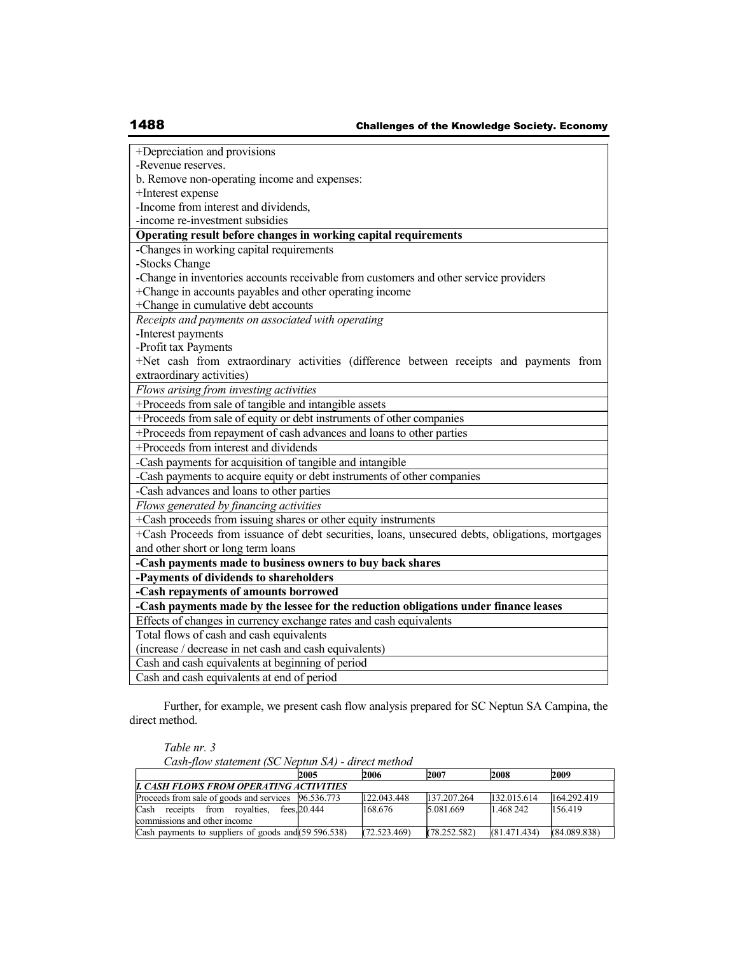| +Depreciation and provisions                                                                    |  |  |  |  |  |  |  |
|-------------------------------------------------------------------------------------------------|--|--|--|--|--|--|--|
| -Revenue reserves.                                                                              |  |  |  |  |  |  |  |
| b. Remove non-operating income and expenses:                                                    |  |  |  |  |  |  |  |
| +Interest expense                                                                               |  |  |  |  |  |  |  |
| -Income from interest and dividends,                                                            |  |  |  |  |  |  |  |
| -income re-investment subsidies                                                                 |  |  |  |  |  |  |  |
| Operating result before changes in working capital requirements                                 |  |  |  |  |  |  |  |
| -Changes in working capital requirements                                                        |  |  |  |  |  |  |  |
| -Stocks Change                                                                                  |  |  |  |  |  |  |  |
| -Change in inventories accounts receivable from customers and other service providers           |  |  |  |  |  |  |  |
| +Change in accounts payables and other operating income                                         |  |  |  |  |  |  |  |
| +Change in cumulative debt accounts                                                             |  |  |  |  |  |  |  |
| Receipts and payments on associated with operating                                              |  |  |  |  |  |  |  |
| -Interest payments                                                                              |  |  |  |  |  |  |  |
| -Profit tax Payments                                                                            |  |  |  |  |  |  |  |
| +Net cash from extraordinary activities (difference between receipts and payments from          |  |  |  |  |  |  |  |
| extraordinary activities)                                                                       |  |  |  |  |  |  |  |
| Flows arising from investing activities                                                         |  |  |  |  |  |  |  |
| +Proceeds from sale of tangible and intangible assets                                           |  |  |  |  |  |  |  |
| +Proceeds from sale of equity or debt instruments of other companies                            |  |  |  |  |  |  |  |
| +Proceeds from repayment of cash advances and loans to other parties                            |  |  |  |  |  |  |  |
| +Proceeds from interest and dividends                                                           |  |  |  |  |  |  |  |
| -Cash payments for acquisition of tangible and intangible                                       |  |  |  |  |  |  |  |
| -Cash payments to acquire equity or debt instruments of other companies                         |  |  |  |  |  |  |  |
| -Cash advances and loans to other parties                                                       |  |  |  |  |  |  |  |
| Flows generated by financing activities                                                         |  |  |  |  |  |  |  |
| +Cash proceeds from issuing shares or other equity instruments                                  |  |  |  |  |  |  |  |
| +Cash Proceeds from issuance of debt securities, loans, unsecured debts, obligations, mortgages |  |  |  |  |  |  |  |
| and other short or long term loans                                                              |  |  |  |  |  |  |  |
| -Cash payments made to business owners to buy back shares                                       |  |  |  |  |  |  |  |
| -Payments of dividends to shareholders                                                          |  |  |  |  |  |  |  |
| -Cash repayments of amounts borrowed                                                            |  |  |  |  |  |  |  |
| -Cash payments made by the lessee for the reduction obligations under finance leases            |  |  |  |  |  |  |  |
| Effects of changes in currency exchange rates and cash equivalents                              |  |  |  |  |  |  |  |
| Total flows of cash and cash equivalents                                                        |  |  |  |  |  |  |  |
| (increase / decrease in net cash and cash equivalents)                                          |  |  |  |  |  |  |  |
| Cash and cash equivalents at beginning of period                                                |  |  |  |  |  |  |  |
| Cash and cash equivalents at end of period                                                      |  |  |  |  |  |  |  |

Further, for example, we present cash flow analysis prepared for SC Neptun SA Campina, the direct method.

*Table nr. 3* 

*Cash-flow statement (SC Neptun SA) - direct method* 

| 2005                                                   |  |                                                |                                                  | 2009                                             |  |  |  |  |
|--------------------------------------------------------|--|------------------------------------------------|--------------------------------------------------|--------------------------------------------------|--|--|--|--|
| <b>I. CASH FLOWS FROM OPERATING ACTIVITIES</b>         |  |                                                |                                                  |                                                  |  |  |  |  |
| Proceeds from sale of goods and services 96.536.773    |  |                                                |                                                  | 164.292.419                                      |  |  |  |  |
| fees. 20.444                                           |  |                                                |                                                  | 156.419                                          |  |  |  |  |
|                                                        |  |                                                |                                                  |                                                  |  |  |  |  |
| Cash payments to suppliers of goods and $(59 596.538)$ |  |                                                |                                                  | (84.089.838)                                     |  |  |  |  |
|                                                        |  | 2006<br>122.043.448<br>168.676<br>(72.523.469) | 2007<br>137.207.264<br>5.081.669<br>(78.252.582) | 2008<br>132.015.614<br>1.468.242<br>(81.471.434) |  |  |  |  |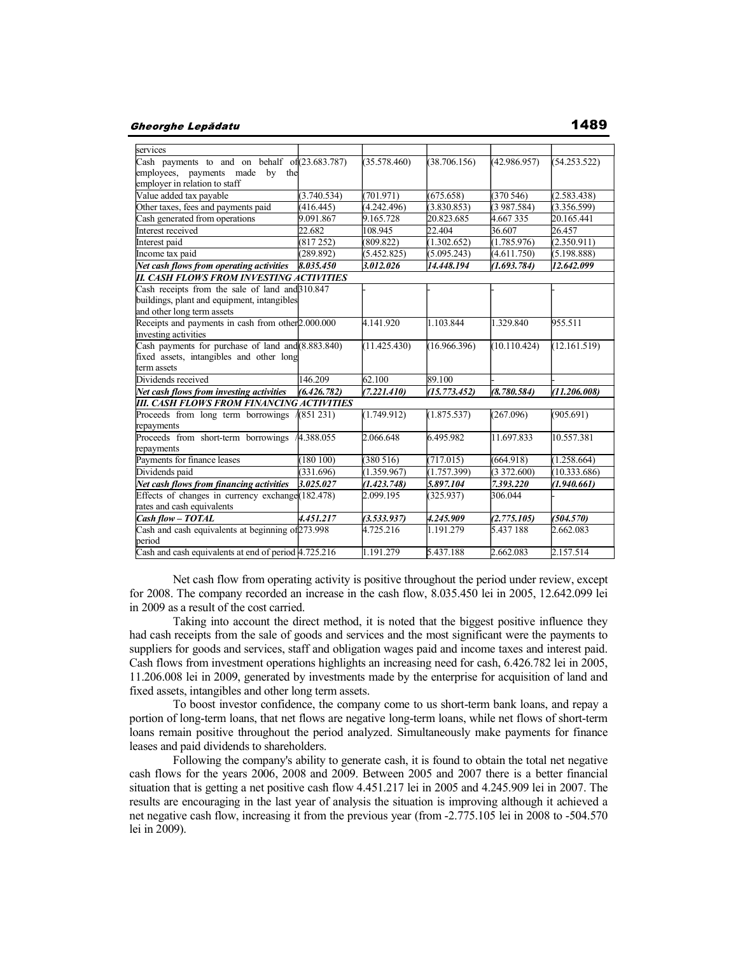#### Gheorghe Lepădatu

| services                                                       |             |              |              |              |              |
|----------------------------------------------------------------|-------------|--------------|--------------|--------------|--------------|
| Cash payments to and on behalf of (23.683.787)                 |             | (35.578.460) | (38.706.156) | (42.986.957) | (54.253.522) |
| employees, payments made by the                                |             |              |              |              |              |
| employer in relation to staff                                  |             |              |              |              |              |
| Value added tax payable                                        | (3.740.534) | (701.971)    | (675.658)    | (370546)     | (2.583.438)  |
| Other taxes, fees and payments paid                            | (416.445)   | (4.242.496)  | (3.830.853)  | (3987.584)   | (3.356.599)  |
| Cash generated from operations                                 | 9.091.867   | 9.165.728    | 20.823.685   | 4.667335     | 20.165.441   |
| Interest received                                              | 22.682      | 108.945      | 22.404       | 36.607       | 26.457       |
| Interest paid                                                  | (817252)    | (809.822)    | (1.302.652)  | (1.785.976)  | (2.350.911)  |
| Income tax paid                                                | (289.892)   | (5.452.825)  | (5.095.243)  | (4.611.750)  | (5.198.888)  |
| Net cash flows from operating activities                       | 8.035.450   | 3.012.026    | 14.448.194   | (1.693.784)  | 12.642.099   |
| <b>II. CASH FLOWS FROM INVESTING ACTIVITIES</b>                |             |              |              |              |              |
| Cash receipts from the sale of land and 310.847                |             |              |              |              |              |
| buildings, plant and equipment, intangibles                    |             |              |              |              |              |
| and other long term assets                                     |             |              |              |              |              |
| Receipts and payments in cash from other <sup>2</sup> .000.000 |             | 4.141.920    | 1.103.844    | 1.329.840    | 955.511      |
| investing activities                                           |             |              |              |              |              |
| Cash payments for purchase of land and (8.883.840)             |             | (11.425.430) | (16.966.396) | (10.110.424) | (12.161.519) |
| fixed assets, intangibles and other long                       |             |              |              |              |              |
| term assets                                                    |             |              |              |              |              |
| Dividends received                                             | 146.209     | 62.100       | 89.100       |              |              |
| Net cash flows from investing activities                       | (6.426.782) | (7.221.410)  | (15.773.452) | (8.780.584)  | (11.206.008) |
| III. CASH FLOWS FROM FINANCING ACTIVITIES                      |             |              |              |              |              |
| Proceeds from long term borrowings                             | 4(851 231)  | (1.749.912)  | (1.875.537)  | (267.096)    | (905.691)    |
| repayments                                                     |             |              |              |              |              |
| Proceeds from short-term borrowings                            | 44.388.055  | 2.066.648    | 6.495.982    | 11.697.833   | 10.557.381   |
| repayments                                                     |             |              |              |              |              |
| Payments for finance leases                                    | (180100)    | (380516)     | (717.015)    | (664.918)    | (1.258.664)  |
| Dividends paid                                                 | (331.696)   | (1.359.967)  | (1.757.399)  | (3372.600)   | (10.333.686) |
| Net cash flows from financing activities                       | 3.025.027   | (1.423.748)  | 5.897.104    | 7.393.220    | (1.940.661)  |
| Effects of changes in currency exchange (182.478)              |             | 2.099.195    | (325.937)    | 306.044      |              |
| rates and cash equivalents                                     |             |              |              |              |              |
| Cash flow - TOTAL                                              | 4.451.217   | (3.533.937)  | 4.245.909    | (2.775.105)  | (504.570)    |
| Cash and cash equivalents at beginning of 273.998              |             | 4.725.216    | 1.191.279    | 5.437 188    | 2.662.083    |
| period                                                         |             |              |              |              |              |
| Cash and cash equivalents at end of period 4.725.216           |             | 1.191.279    | 5.437.188    | 2.662.083    | 2.157.514    |

 Net cash flow from operating activity is positive throughout the period under review, except for 2008. The company recorded an increase in the cash flow, 8.035.450 lei in 2005, 12.642.099 lei in 2009 as a result of the cost carried.

 Taking into account the direct method, it is noted that the biggest positive influence they had cash receipts from the sale of goods and services and the most significant were the payments to suppliers for goods and services, staff and obligation wages paid and income taxes and interest paid. Cash flows from investment operations highlights an increasing need for cash, 6.426.782 lei in 2005, 11.206.008 lei in 2009, generated by investments made by the enterprise for acquisition of land and fixed assets, intangibles and other long term assets.

 To boost investor confidence, the company come to us short-term bank loans, and repay a portion of long-term loans, that net flows are negative long-term loans, while net flows of short-term loans remain positive throughout the period analyzed. Simultaneously make payments for finance leases and paid dividends to shareholders.

 Following the company's ability to generate cash, it is found to obtain the total net negative cash flows for the years 2006, 2008 and 2009. Between 2005 and 2007 there is a better financial situation that is getting a net positive cash flow 4.451.217 lei in 2005 and 4.245.909 lei in 2007. The results are encouraging in the last year of analysis the situation is improving although it achieved a net negative cash flow, increasing it from the previous year (from -2.775.105 lei in 2008 to -504.570 lei in 2009).